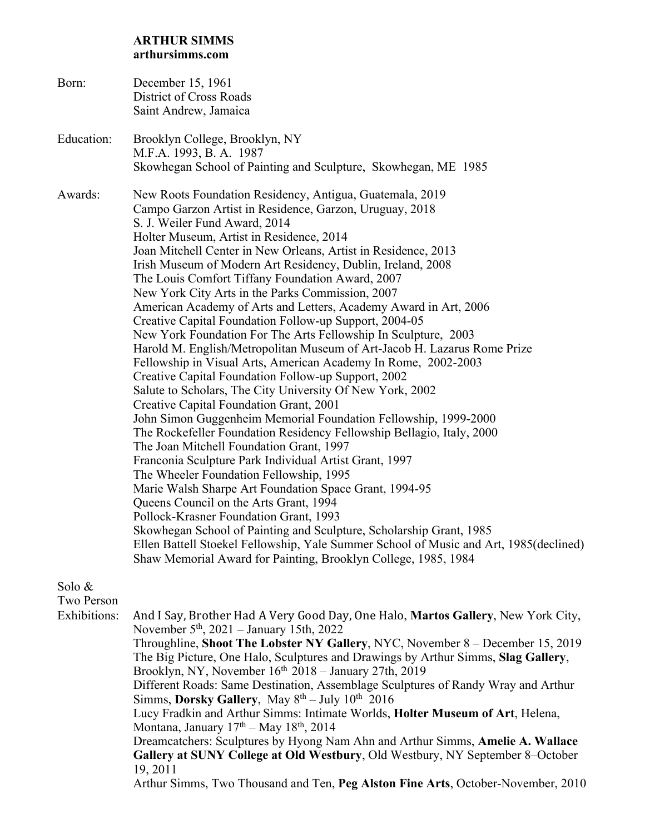## **ARTHUR SIMMS arthursimms.com**

| Born:      | December 15, 1961<br>District of Cross Roads<br>Saint Andrew, Jamaica                                                                                                                                                                                                                                                                                                                                                                                                                                                                                                                                                                                                                                                                                                                                                                                                                                                                                                                                                                                                                                                                                                                                                                                                                                                                                                                                                                                               |
|------------|---------------------------------------------------------------------------------------------------------------------------------------------------------------------------------------------------------------------------------------------------------------------------------------------------------------------------------------------------------------------------------------------------------------------------------------------------------------------------------------------------------------------------------------------------------------------------------------------------------------------------------------------------------------------------------------------------------------------------------------------------------------------------------------------------------------------------------------------------------------------------------------------------------------------------------------------------------------------------------------------------------------------------------------------------------------------------------------------------------------------------------------------------------------------------------------------------------------------------------------------------------------------------------------------------------------------------------------------------------------------------------------------------------------------------------------------------------------------|
| Education: | Brooklyn College, Brooklyn, NY<br>M.F.A. 1993, B.A. 1987                                                                                                                                                                                                                                                                                                                                                                                                                                                                                                                                                                                                                                                                                                                                                                                                                                                                                                                                                                                                                                                                                                                                                                                                                                                                                                                                                                                                            |
| Awards:    | Skowhegan School of Painting and Sculpture, Skowhegan, ME 1985<br>New Roots Foundation Residency, Antigua, Guatemala, 2019<br>Campo Garzon Artist in Residence, Garzon, Uruguay, 2018<br>S. J. Weiler Fund Award, 2014<br>Holter Museum, Artist in Residence, 2014<br>Joan Mitchell Center in New Orleans, Artist in Residence, 2013<br>Irish Museum of Modern Art Residency, Dublin, Ireland, 2008<br>The Louis Comfort Tiffany Foundation Award, 2007<br>New York City Arts in the Parks Commission, 2007<br>American Academy of Arts and Letters, Academy Award in Art, 2006<br>Creative Capital Foundation Follow-up Support, 2004-05<br>New York Foundation For The Arts Fellowship In Sculpture, 2003<br>Harold M. English/Metropolitan Museum of Art-Jacob H. Lazarus Rome Prize<br>Fellowship in Visual Arts, American Academy In Rome, 2002-2003<br>Creative Capital Foundation Follow-up Support, 2002<br>Salute to Scholars, The City University Of New York, 2002<br>Creative Capital Foundation Grant, 2001<br>John Simon Guggenheim Memorial Foundation Fellowship, 1999-2000<br>The Rockefeller Foundation Residency Fellowship Bellagio, Italy, 2000<br>The Joan Mitchell Foundation Grant, 1997<br>Franconia Sculpture Park Individual Artist Grant, 1997<br>The Wheeler Foundation Fellowship, 1995<br>Marie Walsh Sharpe Art Foundation Space Grant, 1994-95<br>Queens Council on the Arts Grant, 1994<br>Pollock-Krasner Foundation Grant, 1993 |
|            | Skowhegan School of Painting and Sculpture, Scholarship Grant, 1985<br>Ellen Battell Stoekel Fellowship, Yale Summer School of Music and Art, 1985 (declined)<br>Shaw Memorial Award for Painting, Brooklyn College, 1985, 1984                                                                                                                                                                                                                                                                                                                                                                                                                                                                                                                                                                                                                                                                                                                                                                                                                                                                                                                                                                                                                                                                                                                                                                                                                                     |

Solo &

Two Person

Exhibitions: And I Say, Brother Had A Very Good Day, One Halo, Martos Gallery, New York City, November 5th, 2021 – January 15th, 2022 Throughline, **Shoot The Lobster NY Gallery**, NYC, November 8 – December 15, 2019 The Big Picture, One Halo, Sculptures and Drawings by Arthur Simms, **Slag Gallery**, Brooklyn, NY, November  $16<sup>th</sup> 2018$  – January 27th, 2019 Different Roads: Same Destination, Assemblage Sculptures of Randy Wray and Arthur Simms, **Dorsky Gallery**, May  $8^{th}$  – July  $10^{th}$  2016 Lucy Fradkin and Arthur Simms: Intimate Worlds, **Holter Museum of Art**, Helena, Montana, January  $17<sup>th</sup> - May 18<sup>th</sup>$ , 2014 Dreamcatchers: Sculptures by Hyong Nam Ahn and Arthur Simms, **Amelie A. Wallace Gallery at SUNY College at Old Westbury**, Old Westbury, NY September 8–October 19, 2011 Arthur Simms, Two Thousand and Ten, **Peg Alston Fine Arts**, October-November, 2010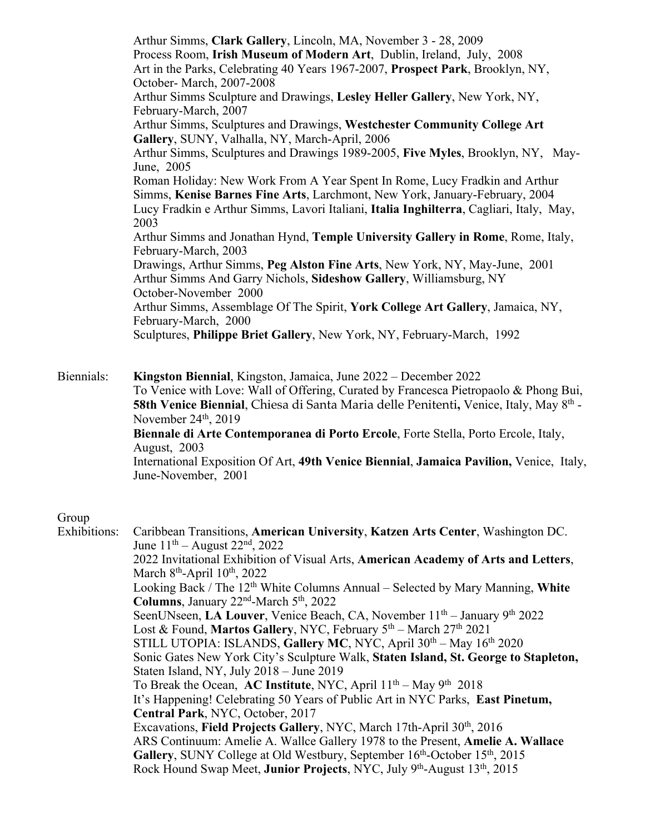Arthur Simms, **Clark Gallery**, Lincoln, MA, November 3 - 28, 2009 Process Room, **Irish Museum of Modern Art**, Dublin, Ireland, July, 2008 Art in the Parks, Celebrating 40 Years 1967-2007, **Prospect Park**, Brooklyn, NY, October- March, 2007-2008 Arthur Simms Sculpture and Drawings, **Lesley Heller Gallery**, New York, NY, February-March, 2007 Arthur Simms, Sculptures and Drawings, **Westchester Community College Art Gallery**, SUNY, Valhalla, NY, March-April, 2006 Arthur Simms, Sculptures and Drawings 1989-2005, **Five Myles**, Brooklyn, NY, May-June, 2005 Roman Holiday: New Work From A Year Spent In Rome, Lucy Fradkin and Arthur Simms, **Kenise Barnes Fine Arts**, Larchmont, New York, January-February, 2004 Lucy Fradkin e Arthur Simms, Lavori Italiani, **Italia Inghilterra**, Cagliari, Italy, May, 2003 Arthur Simms and Jonathan Hynd, **Temple University Gallery in Rome**, Rome, Italy, February-March, 2003 Drawings, Arthur Simms, **Peg Alston Fine Arts**, New York, NY, May-June, 2001 Arthur Simms And Garry Nichols, **Sideshow Gallery**, Williamsburg, NY October-November 2000 Arthur Simms, Assemblage Of The Spirit, **York College Art Gallery**, Jamaica, NY, February-March, 2000 Sculptures, **Philippe Briet Gallery**, New York, NY, February-March, 1992

Biennials: **Kingston Biennial**, Kingston, Jamaica, June 2022 – December 2022 To Venice with Love: Wall of Offering, Curated by Francesca Pietropaolo & Phong Bui, **58th Venice Biennial**, Chiesa di Santa Maria delle Penitenti**,** Venice, Italy, May 8th - November  $24<sup>th</sup>$ , 2019

**Biennale di Arte Contemporanea di Porto Ercole**, Forte Stella, Porto Ercole, Italy, August, 2003

International Exposition Of Art, **49th Venice Biennial**, **Jamaica Pavilion,** Venice, Italy, June-November, 2001

## Group

Exhibitions: Caribbean Transitions, **American University**, **Katzen Arts Center**, Washington DC. June  $11<sup>th</sup>$  – August  $22<sup>nd</sup>$ ,  $2022$ 2022 Invitational Exhibition of Visual Arts, **American Academy of Arts and Letters**, March  $8<sup>th</sup>$ -April  $10<sup>th</sup>$ , 2022 Looking Back / The 12th White Columns Annual – Selected by Mary Manning, **White Columns**, January 22nd-March 5th, 2022 SeenUNseen, LA Louver, Venice Beach, CA, November 11<sup>th</sup> – January 9<sup>th</sup> 2022 Lost & Found, Martos Gallery, NYC, February 5<sup>th</sup> – March 27<sup>th</sup> 2021 STILL UTOPIA: ISLANDS, Gallery MC, NYC, April  $30<sup>th</sup> - May 16<sup>th</sup> 2020$ Sonic Gates New York City's Sculpture Walk, **Staten Island, St. George to Stapleton,**  Staten Island, NY, July 2018 – June 2019 To Break the Ocean, **AC Institute**, NYC, April  $11<sup>th</sup> - May 9<sup>th</sup> 2018$ It's Happening! Celebrating 50 Years of Public Art in NYC Parks, **East Pinetum, Central Park**, NYC, October, 2017 Excavations, **Field Projects Gallery**, NYC, March 17th-April 30<sup>th</sup>, 2016 ARS Continuum: Amelie A. Wallce Gallery 1978 to the Present, **Amelie A. Wallace**  Gallery, SUNY College at Old Westbury, September 16<sup>th</sup>-October 15<sup>th</sup>, 2015 Rock Hound Swap Meet, **Junior Projects**, NYC, July 9<sup>th</sup>-August 13<sup>th</sup>, 2015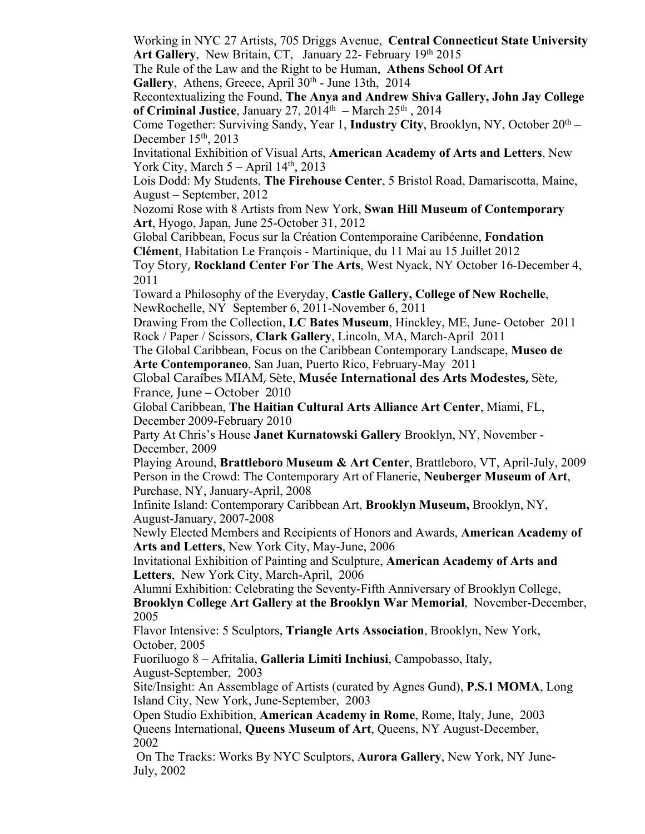Working in NYC 27 Artists, 705 Driggs Avenue, **Central Connecticut State University** Art Gallery, New Britain, CT, January 22- February 19th 2015

The Rule of the Law and the Right to be Human, **Athens School Of Art** Gallery, Athens, Greece, April 30<sup>th</sup> - June 13th, 2014

Recontextualizing the Found, **The Anya and Andrew Shiva Gallery, John Jay College**  of Criminal Justice, January 27, 2014<sup>th</sup> – March 25<sup>th</sup>, 2014

Come Together: Surviving Sandy, Year 1, **Industry City**, Brooklyn, NY, October  $20<sup>th</sup> -$ December  $15<sup>th</sup>$ , 2013

Invitational Exhibition of Visual Arts, **American Academy of Arts and Letters**, New York City, March  $5 -$ April  $14<sup>th</sup>$ , 2013

Lois Dodd: My Students, **The Firehouse Center**, 5 Bristol Road, Damariscotta, Maine, August – September, 2012

Nozomi Rose with 8 Artists from New York, **Swan Hill Museum of Contemporary Art**, Hyogo, Japan, June 25-October 31, 2012

Global Caribbean, Focus sur la Création Contemporaine Caribéenne, **Fondation Clément**, Habitation Le François - Martinique, du 11 Mai au 15 Juillet 2012

Toy Story, **Rockland Center For The Arts**, West Nyack, NY October 16-December 4, 2011

Toward a Philosophy of the Everyday, **Castle Gallery, College of New Rochelle**, NewRochelle, NY September 6, 2011-November 6, 2011

Drawing From the Collection, **LC Bates Museum**, Hinckley, ME, June- October 2011 Rock / Paper / Scissors, **Clark Gallery**, Lincoln, MA, March-April 2011

The Global Caribbean, Focus on the Caribbean Contemporary Landscape, **Museo de Arte Contemporaneo**, San Juan, Puerto Rico, February-May 2011

Global Caraîbes MIAM, Sète, **Musée International des Arts Modestes,** Sète, France, June – October 2010

Global Caribbean, **The Haitian Cultural Arts Alliance Art Center**, Miami, FL, December 2009-February 2010

Party At Chris's House **Janet Kurnatowski Gallery** Brooklyn, NY, November - December, 2009

Playing Around, **Brattleboro Museum & Art Center**, Brattleboro, VT, April-July, 2009 Person in the Crowd: The Contemporary Art of Flanerie, **Neuberger Museum of Art**, Purchase, NY, January-April, 2008

Infinite Island: Contemporary Caribbean Art, **Brooklyn Museum,** Brooklyn, NY, August-January, 2007-2008

Newly Elected Members and Recipients of Honors and Awards, **American Academy of Arts and Letters**, New York City, May-June, 2006

Invitational Exhibition of Painting and Sculpture, **American Academy of Arts and Letters**, New York City, March-April, 2006

Alumni Exhibition: Celebrating the Seventy-Fifth Anniversary of Brooklyn College, **Brooklyn College Art Gallery at the Brooklyn War Memorial**, November-December, 2005

Flavor Intensive: 5 Sculptors, **Triangle Arts Association**, Brooklyn, New York, October, 2005

Fuoriluogo 8 – Afritalia, **Galleria Limiti Inchiusi**, Campobasso, Italy, August-September, 2003

Site/Insight: An Assemblage of Artists (curated by Agnes Gund), **P.S.1 MOMA**, Long Island City, New York, June-September, 2003

Open Studio Exhibition, **American Academy in Rome**, Rome, Italy, June, 2003 Queens International, **Queens Museum of Art**, Queens, NY August-December, 2002

On The Tracks: Works By NYC Sculptors, **Aurora Gallery**, New York, NY June-July, 2002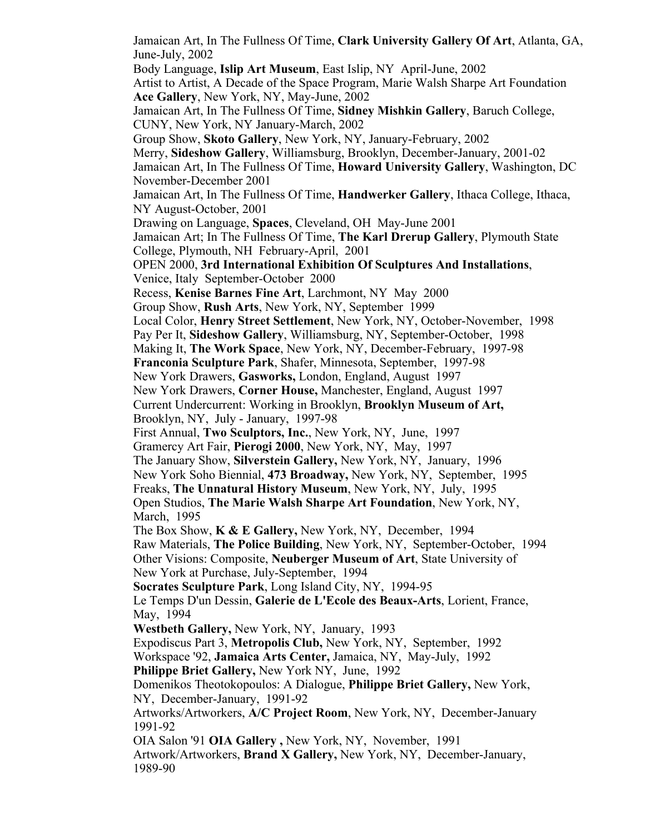Jamaican Art, In The Fullness Of Time, **Clark University Gallery Of Art**, Atlanta, GA, June-July, 2002 Body Language, **Islip Art Museum**, East Islip, NY April-June, 2002 Artist to Artist, A Decade of the Space Program, Marie Walsh Sharpe Art Foundation **Ace Gallery**, New York, NY, May-June, 2002 Jamaican Art, In The Fullness Of Time, **Sidney Mishkin Gallery**, Baruch College, CUNY, New York, NY January-March, 2002 Group Show, **Skoto Gallery**, New York, NY, January-February, 2002 Merry, **Sideshow Gallery**, Williamsburg, Brooklyn, December-January, 2001-02 Jamaican Art, In The Fullness Of Time, **Howard University Gallery**, Washington, DC November-December 2001 Jamaican Art, In The Fullness Of Time, **Handwerker Gallery**, Ithaca College, Ithaca, NY August-October, 2001 Drawing on Language, **Spaces**, Cleveland, OH May-June 2001 Jamaican Art; In The Fullness Of Time, **The Karl Drerup Gallery**, Plymouth State College, Plymouth, NH February-April, 2001 OPEN 2000, **3rd International Exhibition Of Sculptures And Installations**, Venice, Italy September-October 2000 Recess, **Kenise Barnes Fine Art**, Larchmont, NY May 2000 Group Show, **Rush Arts**, New York, NY, September 1999 Local Color, **Henry Street Settlement**, New York, NY, October-November, 1998 Pay Per It, **Sideshow Gallery**, Williamsburg, NY, September-October, 1998 Making It, **The Work Space**, New York, NY, December-February, 1997-98 **Franconia Sculpture Park**, Shafer, Minnesota, September, 1997-98 New York Drawers, **Gasworks,** London, England, August 1997 New York Drawers, **Corner House,** Manchester, England, August 1997 Current Undercurrent: Working in Brooklyn, **Brooklyn Museum of Art,**  Brooklyn, NY, July - January, 1997-98 First Annual, **Two Sculptors, Inc.**, New York, NY, June, 1997 Gramercy Art Fair, **Pierogi 2000**, New York, NY, May, 1997 The January Show, **Silverstein Gallery,** New York, NY, January, 1996 New York Soho Biennial, **473 Broadway,** New York, NY, September, 1995 Freaks, **The Unnatural History Museum**, New York, NY, July, 1995 Open Studios, **The Marie Walsh Sharpe Art Foundation**, New York, NY, March, 1995 The Box Show, **K & E Gallery,** New York, NY, December, 1994 Raw Materials, **The Police Building**, New York, NY, September-October, 1994 Other Visions: Composite, **Neuberger Museum of Art**, State University of New York at Purchase, July-September, 1994 **Socrates Sculpture Park**, Long Island City, NY, 1994-95 Le Temps D'un Dessin, **Galerie de L'Ecole des Beaux-Arts**, Lorient, France, May, 1994 **Westbeth Gallery,** New York, NY, January, 1993 Expodiscus Part 3, **Metropolis Club,** New York, NY, September, 1992 Workspace '92, **Jamaica Arts Center,** Jamaica, NY, May-July, 1992 **Philippe Briet Gallery,** New York NY, June, 1992 Domenikos Theotokopoulos: A Dialogue, **Philippe Briet Gallery,** New York, NY, December-January, 1991-92 Artworks/Artworkers, **A/C Project Room**, New York, NY, December-January 1991-92 OIA Salon '91 **OIA Gallery ,** New York, NY, November, 1991 Artwork/Artworkers, **Brand X Gallery,** New York, NY, December-January, 1989-90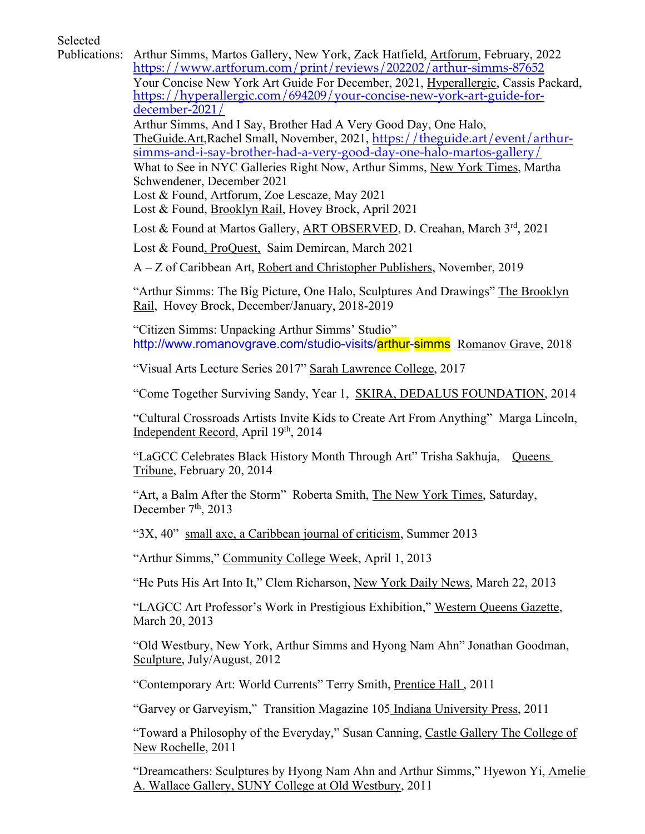Selected

Publications: Arthur Simms, Martos Gallery, New York, Zack Hatfield, Artforum, February, 2022 https://www.artforum.com/print/reviews/202202/arthur-simms-87652 Your Concise New York Art Guide For December, 2021, Hyperallergic, Cassis Packard, https://hyperallergic.com/694209/your-concise-new-york-art-guide-fordecember-2021/ Arthur Simms, And I Say, Brother Had A Very Good Day, One Halo, TheGuide.Art,Rachel Small, November, 2021, https://theguide.art/event/arthursimms-and-i-say-brother-had-a-very-good-day-one-halo-martos-gallery/ What to See in NYC Galleries Right Now, Arthur Simms, New York Times, Martha Schwendener, December 2021 Lost & Found, Artforum, Zoe Lescaze, May 2021 Lost & Found, Brooklyn Rail, Hovey Brock, April 2021 Lost & Found at Martos Gallery, ART OBSERVED, D. Creahan, March 3rd, 2021 Lost & Found, ProQuest, Saim Demircan, March 2021 A – Z of Caribbean Art, Robert and Christopher Publishers, November, 2019 "Arthur Simms: The Big Picture, One Halo, Sculptures And Drawings" The Brooklyn Rail, Hovey Brock, December/January, 2018-2019 "Citizen Simms: Unpacking Arthur Simms' Studio" http://www.romanovgrave.com/studio-visits/arthur-simms Romanov Grave, 2018 "Visual Arts Lecture Series 2017" Sarah Lawrence College, 2017 "Come Together Surviving Sandy, Year 1, SKIRA, DEDALUS FOUNDATION, 2014 "Cultural Crossroads Artists Invite Kids to Create Art From Anything" Marga Lincoln, Independent Record, April 19th, 2014 "LaGCC Celebrates Black History Month Through Art" Trisha Sakhuja, Queens Tribune, February 20, 2014 "Art, a Balm After the Storm" Roberta Smith, The New York Times, Saturday, December  $7<sup>th</sup>$ , 2013 "3X, 40" small axe, a Caribbean journal of criticism, Summer 2013 "Arthur Simms," Community College Week, April 1, 2013 "He Puts His Art Into It," Clem Richarson, New York Daily News, March 22, 2013 "LAGCC Art Professor's Work in Prestigious Exhibition," Western Queens Gazette, March 20, 2013 "Old Westbury, New York, Arthur Simms and Hyong Nam Ahn" Jonathan Goodman, Sculpture, July/August, 2012 "Contemporary Art: World Currents" Terry Smith, Prentice Hall , 2011 "Garvey or Garveyism," Transition Magazine 105 Indiana University Press, 2011

> "Toward a Philosophy of the Everyday," Susan Canning, Castle Gallery The College of New Rochelle, 2011

"Dreamcathers: Sculptures by Hyong Nam Ahn and Arthur Simms," Hyewon Yi, Amelie A. Wallace Gallery, SUNY College at Old Westbury, 2011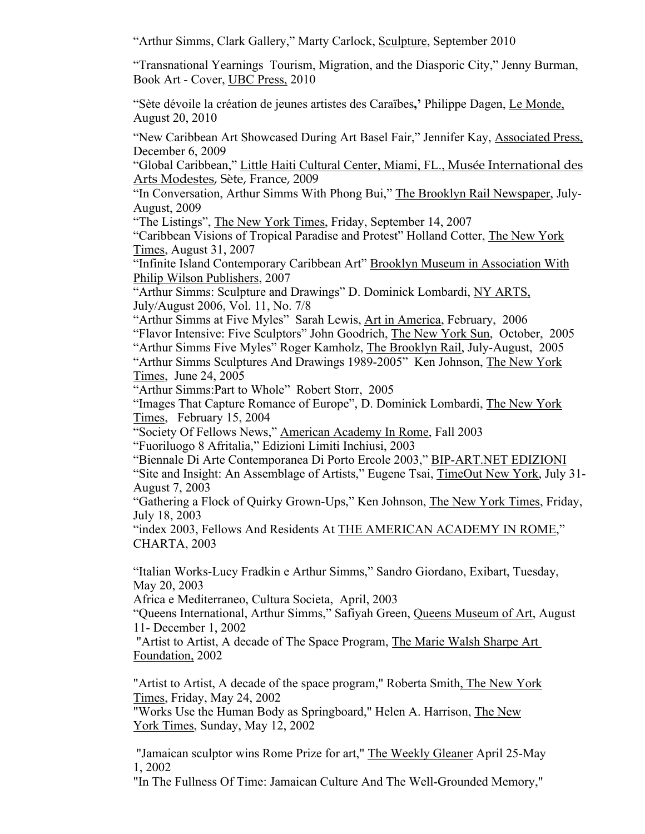"Arthur Simms, Clark Gallery," Marty Carlock, Sculpture, September 2010

"Transnational Yearnings Tourism, Migration, and the Diasporic City," Jenny Burman, Book Art - Cover, UBC Press, 2010

"Sète dévoile la création de jeunes artistes des Caraïbes**,'** Philippe Dagen, Le Monde, August 20, 2010

"New Caribbean Art Showcased During Art Basel Fair," Jennifer Kay, Associated Press, December 6, 2009

"Global Caribbean," Little Haiti Cultural Center, Miami, FL., Musée International des Arts Modestes, Sète, France, 2009

"In Conversation, Arthur Simms With Phong Bui," The Brooklyn Rail Newspaper, July-August, 2009

"The Listings", The New York Times, Friday, September 14, 2007

"Caribbean Visions of Tropical Paradise and Protest" Holland Cotter, The New York Times, August 31, 2007

"Infinite Island Contemporary Caribbean Art" Brooklyn Museum in Association With Philip Wilson Publishers, 2007

"Arthur Simms: Sculpture and Drawings" D. Dominick Lombardi, NY ARTS, July/August 2006, Vol. 11, No. 7/8

"Arthur Simms at Five Myles" Sarah Lewis, Art in America, February, 2006 "Flavor Intensive: Five Sculptors" John Goodrich, The New York Sun, October, 2005 "Arthur Simms Five Myles" Roger Kamholz, The Brooklyn Rail, July-August, 2005 "Arthur Simms Sculptures And Drawings 1989-2005" Ken Johnson, The New York Times, June 24, 2005

"Arthur Simms:Part to Whole" Robert Storr, 2005

"Images That Capture Romance of Europe", D. Dominick Lombardi, The New York Times, February 15, 2004

"Society Of Fellows News," American Academy In Rome, Fall 2003

"Fuoriluogo 8 Afritalia," Edizioni Limiti Inchiusi, 2003

"Biennale Di Arte Contemporanea Di Porto Ercole 2003," BIP-ART.NET EDIZIONI "Site and Insight: An Assemblage of Artists," Eugene Tsai, TimeOut New York, July 31- August 7, 2003

"Gathering a Flock of Quirky Grown-Ups," Ken Johnson, The New York Times, Friday, July 18, 2003

"index 2003, Fellows And Residents At THE AMERICAN ACADEMY IN ROME," CHARTA, 2003

"Italian Works-Lucy Fradkin e Arthur Simms," Sandro Giordano, Exibart, Tuesday, May 20, 2003

Africa e Mediterraneo, Cultura Societa, April, 2003

"Queens International, Arthur Simms," Safiyah Green, Queens Museum of Art, August 11- December 1, 2002

"Artist to Artist, A decade of The Space Program, The Marie Walsh Sharpe Art Foundation, 2002

"Artist to Artist, A decade of the space program," Roberta Smith, The New York Times, Friday, May 24, 2002

"Works Use the Human Body as Springboard," Helen A. Harrison, The New York Times, Sunday, May 12, 2002

"Jamaican sculptor wins Rome Prize for art," The Weekly Gleaner April 25-May 1, 2002

"In The Fullness Of Time: Jamaican Culture And The Well-Grounded Memory,"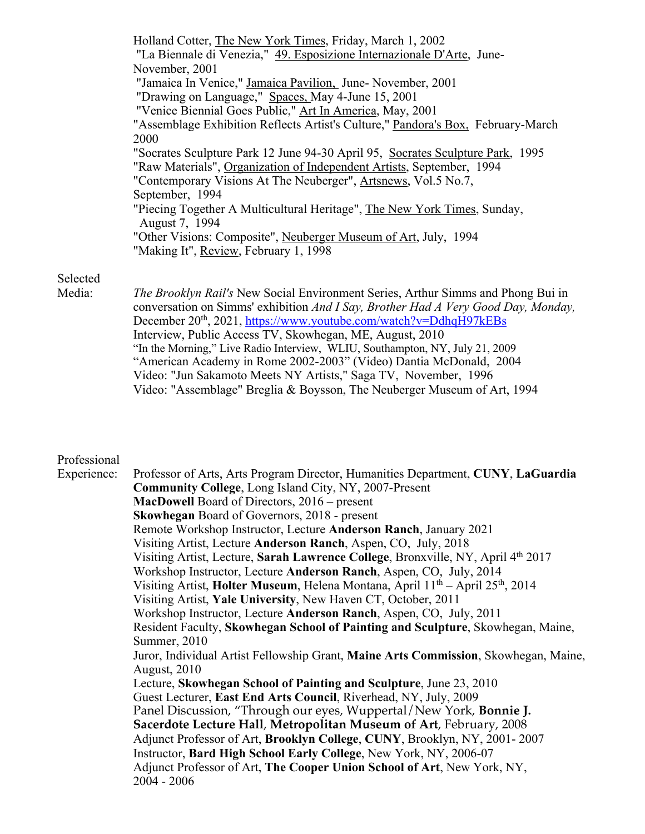| Holland Cotter, The New York Times, Friday, March 1, 2002                        |  |
|----------------------------------------------------------------------------------|--|
| "La Biennale di Venezia," 49. Esposizione Internazionale D'Arte, June-           |  |
| November, 2001                                                                   |  |
| "Jamaica In Venice," Jamaica Pavilion, June-November, 2001                       |  |
| "Drawing on Language," Spaces, May 4-June 15, 2001                               |  |
| "Venice Biennial Goes Public," Art In America, May, 2001                         |  |
| "Assemblage Exhibition Reflects Artist's Culture," Pandora's Box, February-March |  |
| 2000                                                                             |  |
| "Socrates Sculpture Park 12 June 94-30 April 95, Socrates Sculpture Park, 1995   |  |
| "Raw Materials", Organization of Independent Artists, September, 1994            |  |
| "Contemporary Visions At The Neuberger", Artsnews, Vol.5 No.7,                   |  |
| September, 1994                                                                  |  |
| "Piecing Together A Multicultural Heritage", The New York Times, Sunday,         |  |
| August 7, 1994                                                                   |  |
| "Other Visions: Composite", Neuberger Museum of Art, July, 1994                  |  |
| "Making It", Review, February 1, 1998                                            |  |
|                                                                                  |  |

## Selected

Media: *The Brooklyn Rail's* New Social Environment Series, Arthur Simms and Phong Bui in conversation on Simms' exhibition *And I Say, Brother Had A Very Good Day, Monday,*  December 20<sup>th</sup>, 2021, https://www.youtube.com/watch?v=DdhqH97kEBs Interview, Public Access TV, Skowhegan, ME, August, 2010 "In the Morning," Live Radio Interview, WLIU, Southampton, NY, July 21, 2009 "American Academy in Rome 2002-2003" (Video) Dantia McDonald, 2004 Video: "Jun Sakamoto Meets NY Artists," Saga TV, November, 1996 Video: "Assemblage" Breglia & Boysson, The Neuberger Museum of Art, 1994

## Professional

Experience: Professor of Arts, Arts Program Director, Humanities Department, **CUNY**, **LaGuardia Community College**, Long Island City, NY, 2007-Present **MacDowell** Board of Directors, 2016 – present **Skowhegan** Board of Governors, 2018 - present Remote Workshop Instructor, Lecture **Anderson Ranch**, January 2021 Visiting Artist, Lecture **Anderson Ranch**, Aspen, CO, July, 2018 Visiting Artist, Lecture, **Sarah Lawrence College**, Bronxville, NY, April 4th 2017 Workshop Instructor, Lecture **Anderson Ranch**, Aspen, CO, July, 2014 Visiting Artist, **Holter Museum**, Helena Montana, April 11th – April 25th, 2014 Visiting Artist, **Yale University**, New Haven CT, October, 2011 Workshop Instructor, Lecture **Anderson Ranch**, Aspen, CO, July, 2011 Resident Faculty, **Skowhegan School of Painting and Sculpture**, Skowhegan, Maine, Summer, 2010 Juror, Individual Artist Fellowship Grant, **Maine Arts Commission**, Skowhegan, Maine, August, 2010 Lecture, **Skowhegan School of Painting and Sculpture**, June 23, 2010 Guest Lecturer, **East End Arts Council**, Riverhead, NY, July, 2009 Panel Discussion, "Through our eyes, Wuppertal/New York, **Bonnie J. Sacerdote Lecture Hall**, **Metropolitan Museum of Art**, February, 2008 Adjunct Professor of Art, **Brooklyn College**, **CUNY**, Brooklyn, NY, 2001- 2007 Instructor, **Bard High School Early College**, New York, NY, 2006-07 Adjunct Professor of Art, **The Cooper Union School of Art**, New York, NY, 2004 - 2006